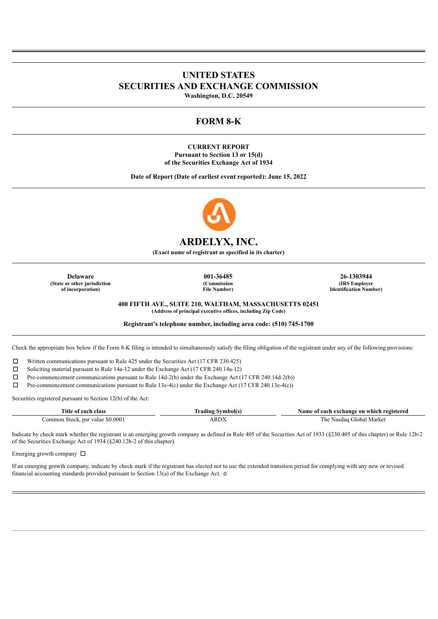# **UNITED STATES SECURITIES AND EXCHANGE COMMISSION**

**Washington, D.C. 20549**

## **FORM 8-K**

**CURRENT REPORT Pursuant to Section 13 or 15(d) of the Securities Exchange Act of 1934**

**Date of Report (Date of earliest event reported): June 15, 2022**



## **ARDELYX, INC.**

**(Exact name of registrant as specified in its charter)**

**(State or other jurisdiction of incorporation)**

**(Commission File Number)**

**Delaware 001-36485 26-1303944 (IRS Employer Identification Number)**

**400 FIFTH AVE., SUITE 210, WALTHAM, MASSACHUSETTS 02451**

**(Address of principal executive offices, including Zip Code)**

**Registrant's telephone number, including area code: (510) 745-1700**

Check the appropriate box below if the Form 8-K filing is intended to simultaneously satisfy the filing obligation of the registrant under any of the following provisions:

☐ Written communications pursuant to Rule 425 under the Securities Act (17 CFR 230.425)

☐ Soliciting material pursuant to Rule 14a-12 under the Exchange Act (17 CFR 240.14a-12)

☐ Pre-commencement communications pursuant to Rule 14d-2(b) under the Exchange Act (17 CFR 240.14d-2(b))

☐ Pre-commencement communications pursuant to Rule 13e-4(c) under the Exchange Act (17 CFR 240.13e-4(c))

Securities registered pursuant to Section 12(b) of the Act:

| Title .<br>class<br>. ooor               | radıng<br>vmholí+ | exchange on which registered<br>.same.<br>each |
|------------------------------------------|-------------------|------------------------------------------------|
| : par value \$0.0001<br>.ommon<br>Stock. | . DD'<br>\ IS     | . Market<br>i he<br>Gilobal<br>Nasdag          |

Indicate by check mark whether the registrant is an emerging growth company as defined in Rule 405 of the Securities Act of 1933 (§230.405 of this chapter) or Rule 12b-2 of the Securities Exchange Act of 1934 (§240.12b-2 of this chapter).

Emerging growth company  $\Box$ 

If an emerging growth company, indicate by check mark if the registrant has elected not to use the extended transition period for complying with any new or revised financial accounting standards provided pursuant to Section 13(a) of the Exchange Act. o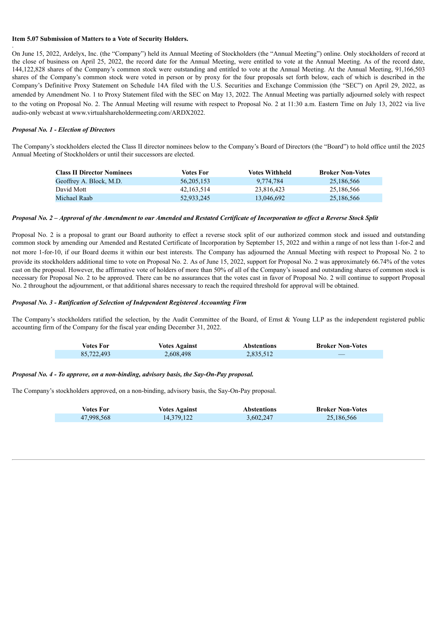### **Item 5.07 Submission of Matters to a Vote of Security Holders.**

On June 15, 2022, Ardelyx, Inc. (the "Company") held its Annual Meeting of Stockholders (the "Annual Meeting") online. Only stockholders of record at the close of business on April 25, 2022, the record date for the Annual Meeting, were entitled to vote at the Annual Meeting. As of the record date, 144,122,828 shares of the Company's common stock were outstanding and entitled to vote at the Annual Meeting. At the Annual Meeting, 91,166,503 shares of the Company's common stock were voted in person or by proxy for the four proposals set forth below, each of which is described in the Company's Definitive Proxy Statement on Schedule 14A filed with the U.S. Securities and Exchange Commission (the "SEC") on April 29, 2022, as amended by Amendment No. 1 to Proxy Statement filed with the SEC on May 13, 2022. The Annual Meeting was partially adjourned solely with respect to the voting on Proposal No. 2. The Annual Meeting will resume with respect to Proposal No. 2 at 11:30 a.m. Eastern Time on July 13, 2022 via live audio-only webcast at www.virtualshareholdermeeting.com/ARDX2022.

## *Proposal No. 1 - Election of Directors*

.

The Company's stockholders elected the Class II director nominees below to the Company's Board of Directors (the "Board") to hold office until the 2025 Annual Meeting of Stockholders or until their successors are elected.

| <b>Class II Director Nominees</b> | Votes For  | <b>Votes Withheld</b> | <b>Broker Non-Votes</b> |
|-----------------------------------|------------|-----------------------|-------------------------|
| Geoffrey A. Block, M.D.           | 56.205.153 | 9.774.784             | 25.186.566              |
| David Mott                        | 42.163.514 | 23.816.423            | 25,186,566              |
| Michael Raab                      | 52.933.245 | 13.046.692            | 25,186,566              |

### Proposal No. 2 - Approval of the Amendment to our Amended and Restated Certificate of Incorporation to effect a Reverse Stock Split

Proposal No. 2 is a proposal to grant our Board authority to effect a reverse stock split of our authorized common stock and issued and outstanding common stock by amending our Amended and Restated Certificate of Incorporation by September 15, 2022 and within a range of not less than 1-for-2 and not more 1-for-10, if our Board deems it within our best interests. The Company has adjourned the Annual Meeting with respect to Proposal No. 2 to provide its stockholders additional time to vote on Proposal No. 2. As of June 15, 2022, support for Proposal No. 2 was approximately 66.74% of the votes cast on the proposal. However, the affirmative vote of holders of more than 50% of all of the Company's issued and outstanding shares of common stock is necessary for Proposal No. 2 to be approved. There can be no assurances that the votes cast in favor of Proposal No. 2 will continue to support Proposal No. 2 throughout the adjournment, or that additional shares necessary to reach the required threshold for approval will be obtained.

#### *Proposal No. 3 - Ratification of Selection of Independent Registered Accounting Firm*

The Company's stockholders ratified the selection, by the Audit Committee of the Board, of Ernst & Young LLP as the independent registered public accounting firm of the Company for the fiscal year ending December 31, 2022.

| Votes For  | <b>Votes Against</b> | <b>Abstentions</b> | <b>Broker Non-Votes</b> |
|------------|----------------------|--------------------|-------------------------|
| 85,722,493 | 2,608,498            | 2,835,512          | __                      |

### *Proposal No. 4 - To approve, on a non-binding, advisory basis, the Say-On-Pay proposal.*

The Company's stockholders approved, on a non-binding, advisory basis, the Say-On-Pay proposal.

| Votes For  | Votes Against | <b>Abstentions</b> | <b>Broker Non-Votes</b> |
|------------|---------------|--------------------|-------------------------|
| 47,998,568 | 14.379.122    | 3,602,247          | 25,186,566              |